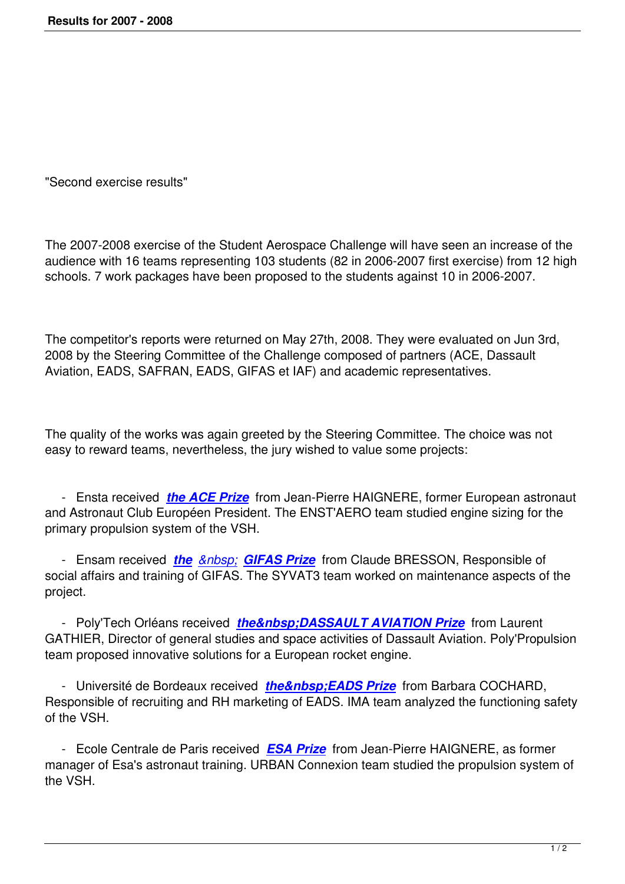"Second exercise results"

The 2007-2008 exercise of the Student Aerospace Challenge will have seen an increase of the audience with 16 teams representing 103 students (82 in 2006-2007 first exercise) from 12 high schools. 7 work packages have been proposed to the students against 10 in 2006-2007.

The competitor's reports were returned on May 27th, 2008. They were evaluated on Jun 3rd, 2008 by the Steering Committee of the Challenge composed of partners (ACE, Dassault Aviation, EADS, SAFRAN, EADS, GIFAS et IAF) and academic representatives.

The quality of the works was again greeted by the Steering Committee. The choice was not easy to reward teams, nevertheless, the jury wished to value some projects:

 - Ensta received *the ACE Prize* from Jean-Pierre HAIGNERE, former European astronaut and Astronaut Club Européen President. The ENST'AERO team studied engine sizing for the primary propulsion system of the VSH.

-Ensam received *the GIFAS Prize* from Claude BRESSON, Responsible of social affairs and training of GIFAS. The SYVAT3 team worked on maintenance aspects of the project.

- Poly'Tech Orléan[s received](popup/2007_2008/gifas_us.html) *the DASSAULT AVIATION Prize* from Laurent GATHIER, Director of general studies and space activities of Dassault Aviation. Poly'Propulsion team proposed innovative solutions for a European rocket engine.

- Université de Bordeaux received *the EADS Prize* from Barbara COCHARD, Responsible of recruiting and RH marketing of EADS. IMA team analyzed the functioning safety of the VSH.

 - Ecole Centrale de Paris received *[ESA Prize](popup/2007_2008/eads_us.html)* from Jean-Pierre HAIGNERE, as former manager of Esa's astronaut training. URBAN Connexion team studied the propulsion system of the VSH.